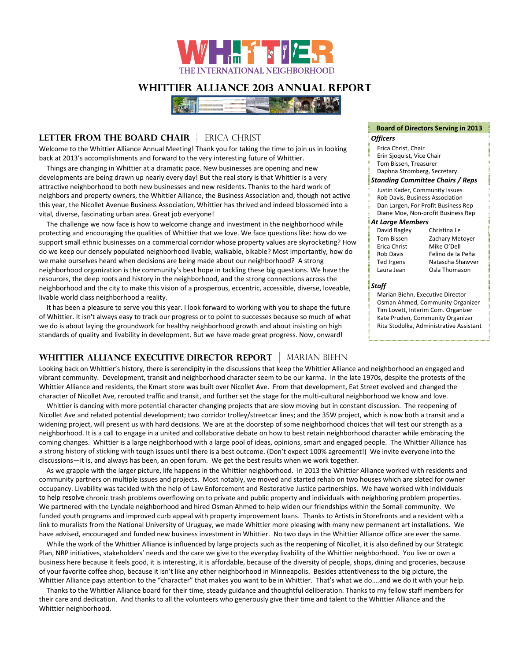

# **Whittier Alliance 2013 Annual Report**



# **LETTER FROM THE BOARD CHAIR** ERICA CHRIST

Welcome to the Whittier Alliance Annual Meeting! Thank you for taking the time to join us in looking back at 2013's accomplishments and forward to the very interesting future of Whittier.

Things are changing in Whittier at a dramatic pace. New businesses are opening and new developments are being drawn up nearly every day! But the real story is that Whittier is a very attractive neighborhood to both new businesses and new residents. Thanks to the hard work of neighbors and property owners, the Whittier Alliance, the Business Association and, though not active this year, the Nicollet Avenue Business Association, Whittier has thrived and indeed blossomed into a vital, diverse, fascinating urban area. Great job everyone!

The challenge we now face is how to welcome change and investment in the neighborhood while protecting and encouraging the qualities of Whittier that we love. We face questions like: how do we support small ethnic businesses on a commercial corridor whose property values are skyrocketing? How do we keep our densely populated neighborhood livable, walkable, bikable? Most importantly, how do we make ourselves heard when decisions are being made about our neighborhood? A strong neighborhood organization is the community's best hope in tackling these big questions. We have the resources, the deep roots and history in the neighborhood, and the strong connections across the neighborhood and the city to make this vision of a prosperous, eccentric, accessible, diverse, loveable, livable world class neighborhood a reality.

It has been a pleasure to serve you this year. I look forward to working with you to shape the future of Whittier. It isn't always easy to track our progress or to point to successes because so much of what we do is about laying the groundwork for healthy neighborhood growth and about insisting on high standards of quality and livability in development. But we have made great progress. Now, onward!

## **WHITTIER ALLIANCE EXECUTIVE DIRECTOR REPORT** MARIAN BIEHN

Looking back on Whittier's history, there is serendipity in the discussions that keep the Whittier Alliance and neighborhood an engaged and vibrant community. Development, transit and neighborhood character seem to be our karma. In the late 1970s, despite the protests of the Whittier Alliance and residents, the Kmart store was built over Nicollet Ave. From that development, Eat Street evolved and changed the character of Nicollet Ave, rerouted traffic and transit, and further set the stage for the multi‐cultural neighborhood we know and love.

Whittier is dancing with more potential character changing projects that are slow moving but in constant discussion. The reopening of Nicollet Ave and related potential development; two corridor trolley/streetcar lines; and the 35W project, which is now both a transit and a widening project, will present us with hard decisions. We are at the doorstep of some neighborhood choices that will test our strength as a neighborhood. It is a call to engage in a united and collaborative debate on how to best retain neighborhood character while embracing the coming changes. Whittier is a large neighborhood with a large pool of ideas, opinions, smart and engaged people. The Whittier Alliance has a strong history of sticking with tough issues until there is a best outcome. (Don't expect 100% agreement!) We invite everyone into the discussions—it is, and always has been, an open forum. We get the best results when we work together.

As we grapple with the larger picture, life happens in the Whittier neighborhood. In 2013 the Whittier Alliance worked with residents and community partners on multiple issues and projects. Most notably, we moved and started rehab on two houses which are slated for owner occupancy. Livability was tackled with the help of Law Enforcement and Restorative Justice partnerships. We have worked with individuals to help resolve chronic trash problems overflowing on to private and public property and individuals with neighboring problem properties. We partnered with the Lyndale neighborhood and hired Osman Ahmed to help widen our friendships within the Somali community. We funded youth programs and improved curb appeal with property improvement loans. Thanks to Artists in Storefronts and a resident with a link to muralists from the National University of Uruguay, we made Whittier more pleasing with many new permanent art installations. We have advised, encouraged and funded new business investment in Whittier. No two days in the Whittier Alliance office are ever the same.

While the work of the Whittier Alliance is influenced by large projects such as the reopening of Nicollet, it is also defined by our Strategic Plan, NRP initiatives, stakeholders' needs and the care we give to the everyday livability of the Whittier neighborhood. You live or own a business here because it feels good, it is interesting, it is affordable, because of the diversity of people, shops, dining and groceries, because of your favorite coffee shop, because it isn't like any other neighborhood in Minneapolis. Besides attentiveness to the big picture, the Whittier Alliance pays attention to the "character" that makes you want to be in Whittier. That's what we do….and we do it with your help.

Thanks to the Whittier Alliance board for their time, steady guidance and thoughtful deliberation. Thanks to my fellow staff members for their care and dedication. And thanks to all the volunteers who generously give their time and talent to the Whittier Alliance and the Whittier neighborhood.

# **Board of Directors Serving in 2013**

- Erica Christ, Chair
- Erin Sjoquist, Vice Chair Tom Bissen, Treasurer
- 
- Daphna Stromberg, Secretary

## *Standing Committee Chairs / Reps*

- Justin Kader, Community Issues
- Rob Davis, Business Association Dan Largen, For Profit Business Rep
- Diane Moe, Non‐profit Business Rep

### *At Large Members*

David Bagley Christina Le Tom Bissen Zachary Metoyer<br>Erica Christ Mike O'Dell Mike O'Dell Rob Davis Felino de la Peña Ted Irgens Natascha Shawver Laura Jean Osla Thomason

#### *Staff*

Marian Biehn, Executive Director Osman Ahmed, Community Organizer Tim Lovett, Interim Com. Organizer Kate Pruden, Community Organizer Rita Stodolka, Administrative Assistant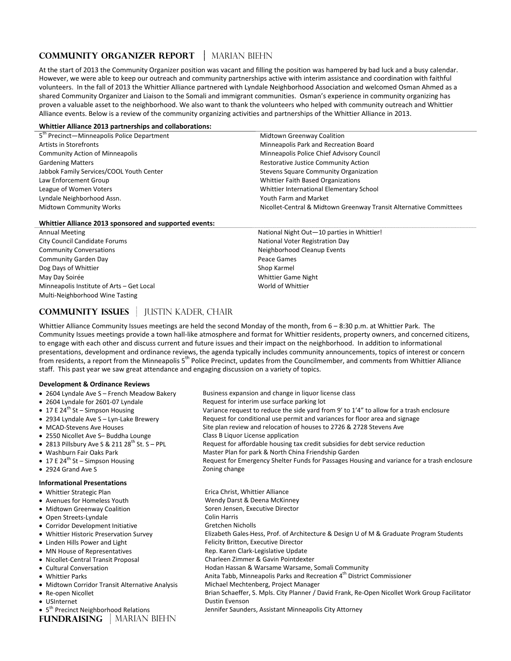# **COMMUNITY ORGANIZER REPORT | MARIAN BIEHN**

At the start of 2013 the Community Organizer position was vacant and filling the position was hampered by bad luck and a busy calendar. However, we were able to keep our outreach and community partnerships active with interim assistance and coordination with faithful volunteers. In the fall of 2013 the Whittier Alliance partnered with Lyndale Neighborhood Association and welcomed Osman Ahmed as a shared Community Organizer and Liaison to the Somali and immigrant communities. Osman's experience in community organizing has proven a valuable asset to the neighborhood. We also want to thank the volunteers who helped with community outreach and Whittier Alliance events. Below is a review of the community organizing activities and partnerships of the Whittier Alliance in 2013.

#### **Whittier Alliance 2013 partnerships and collaborations:**

| 5 <sup>th</sup> Precinct-Minneapolis Police Department | <b>Midtown Greenway Coalition</b>                                  |
|--------------------------------------------------------|--------------------------------------------------------------------|
| Artists in Storefronts                                 | Minneapolis Park and Recreation Board                              |
| <b>Community Action of Minneapolis</b>                 | Minneapolis Police Chief Advisory Council                          |
| <b>Gardening Matters</b>                               | Restorative Justice Community Action                               |
| Jabbok Family Services/COOL Youth Center               | Stevens Square Community Organization                              |
| Law Enforcement Group                                  | Whittier Faith Based Organizations                                 |
| League of Women Voters                                 | Whittier International Elementary School                           |
| Lyndale Neighborhood Assn.                             | Youth Farm and Market                                              |
| <b>Midtown Community Works</b>                         | Nicollet-Central & Midtown Greenway Transit Alternative Committees |
|                                                        |                                                                    |

#### **Whittier Alliance 2013 sponsored and supported events:**

| <b>Annual Meeting</b>                     | National Night Out-10 parties in Whittier! |
|-------------------------------------------|--------------------------------------------|
| City Council Candidate Forums             | National Voter Registration Day            |
| <b>Community Conversations</b>            | Neighborhood Cleanup Events                |
| Community Garden Day                      | Peace Games                                |
| Dog Days of Whittier                      | Shop Karmel                                |
| May Day Soirée                            | <b>Whittier Game Night</b>                 |
| Minneapolis Institute of Arts - Get Local | World of Whittier                          |
| Multi-Neighborhood Wine Tasting           |                                            |

# **COMMUNITY ISSUES** JUSTIN KADER, CHAIR

Whittier Alliance Community Issues meetings are held the second Monday of the month, from 6 - 8:30 p.m. at Whittier Park. The Community Issues meetings provide a town hall‐like atmosphere and format for Whittier residents, property owners, and concerned citizens, to engage with each other and discuss current and future issues and their impact on the neighborhood. In addition to informational presentations, development and ordinance reviews, the agenda typically includes community announcements, topics of interest or concern from residents, a report from the Minneapolis 5<sup>th</sup> Police Precinct, updates from the Councilmember, and comments from Whittier Alliance staff. This past year we saw great attendance and engaging discussion on a variety of topics.

#### **Development & Ordinance Reviews**

- 2604 Lyndale Ave S French Meadow Bakery Business expansion and change in liquor license class
- 2604 Lyndale for 2601-07 Lyndale Request for interim use surface parking lot
- 
- 
- 
- 2550 Nicollet Ave S– Buddha Lounge Class B Liquor License application<br>■ 2813 Pillsbury Ave S & 211 28<sup>th</sup> St. S PPL Request for affordable housing ta
- 
- 
- 
- 2924 Grand Ave S Zoning change

#### **Informational Presentations**

- 
- 
- Midtown Greenway Coalition
- Open Streets-Lyndale Colin Harris
- Corridor Development Initiative **Secure 2018** Gretchen Nicholls
- 
- 
- 
- Nicollet-Central Transit Proposal
- 
- $\bullet$  Midtown Corridor Transit Alternative Analysis
- 
- 
- **USInternet Communisty Communisty Communisty Communisty Communisty Communisty Communisty Communisty Communisty Communisty Communisty Communisty Communisty Communisty Communisty Communisty Communisty Communisty Communisty**

**FUNDRAISING** | MARIAN BIEHN

- 
- 
- 17 E 24<sup>th</sup> St Simpson Housing variance request to reduce the side yard from 9' to 1'4" to allow for a trash enclosure ● 2934 Lyndale Ave S – Lyn-Lake Brewery Request for conditional use permit and variances for floor area and signage
	-
- MCAD-Stevens Ave Houses Site plan review and relocation of houses to 2726 & 2728 Stevens Ave
	-
- 2813 Pillsbury Ave S & 211 28<sup>th</sup> St. S PPL Request for affordable housing tax credit subsidies for debt service reduction<br>■ Washburn Fair Oaks Park North China Friendship Garden
- Washburn Fair Oaks Park Master Plan for park & North China Friendship Garden<br>• 17 E 24<sup>th</sup> St Simpson Housing Master Master of Request for Emergency Shelter Funds for Passages Hou
	- Request for Emergency Shelter Funds for Passages Housing and variance for a trash enclosure

• Whittier Strategic Plan **Erica Christ**, Whittier Alliance • Avenues for Homeless Youth Wendy Darst & Deena McKinney<br>• Midtown Greenway Coalition Well Soren Jensen, Executive Director ● Whittier Historic Preservation Survey Elizabeth Gales-Hess, Prof. of Architecture & Design U of M & Graduate Program Students • Linden Hills Power and Light Felicity Britton, Executive Director ● MN House of Representatives Rep. Karen Clark-Legislative Update<br>● Nicollet-Central Transit Proposal Rep. Charleen Zimmer & Gavin Pointdexter Cultural Conversation Hodan Hassan & Warsame Warsame, Somali Community • Whittier Parks **Multimer Commissioner 1998** Anita Tabb, Minneapolis Parks and Recreation 4<sup>th</sup> District Commissioner<br>• Midtown Corridor Transit Alternative Analysis Michael Mechtenberg, Project Manager ■ Re-open Nicollet **Schaeffer, S. Mpls. City Planner / David Frank**, Re-Open Nicollet Work Group Facilitator Jennifer Saunders, Assistant Minneapolis City Attorney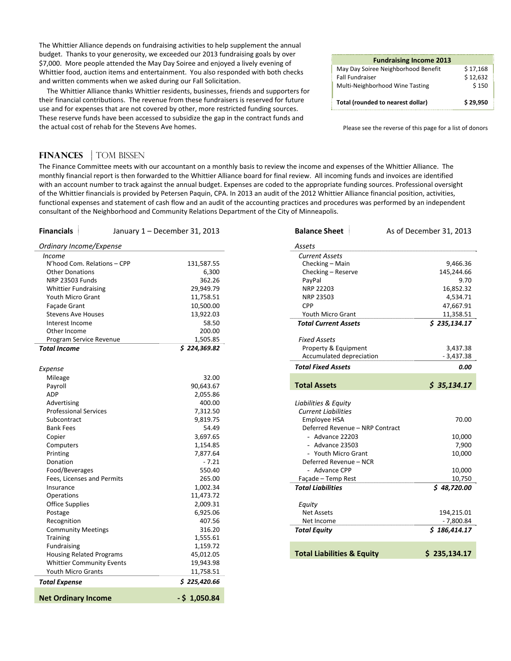The Whittier Alliance depends on fundraising activities to help supplement the annual budget. Thanks to your generosity, we exceeded our 2013 fundraising goals by over \$7,000. More people attended the May Day Soiree and enjoyed a lively evening of Whittier food, auction items and entertainment. You also responded with both checks and written comments when we asked during our Fall Solicitation.

The Whittier Alliance thanks Whittier residents, businesses, friends and supporters for their financial contributions. The revenue from these fundraisers is reserved for future use and for expenses that are not covered by other, more restricted funding sources. These reserve funds have been accessed to subsidize the gap in the contract funds and the actual cost of rehab for the Stevens Ave homes.

| <b>Fundraising Income 2013</b>      |          |
|-------------------------------------|----------|
| May Day Soiree Neighborhood Benefit | \$17,168 |
| <b>Fall Fundraiser</b>              | \$12,632 |
| Multi-Neighborhood Wine Tasting     | \$150    |
|                                     |          |
| Total (rounded to nearest dollar)   | \$29.950 |
|                                     |          |

Please see the reverse of this page for a list of donors

## **FINANCES** | TOM BISSEN

The Finance Committee meets with our accountant on a monthly basis to review the income and expenses of the Whittier Alliance. The monthly financial report is then forwarded to the Whittier Alliance board for final review. All incoming funds and invoices are identified with an account number to track against the annual budget. Expenses are coded to the appropriate funding sources. Professional oversight of the Whittier financials is provided by Petersen Paquin, CPA. In 2013 an audit of the 2012 Whittier Alliance financial position, activities, functional expenses and statement of cash flow and an audit of the accounting practices and procedures was performed by an independent consultant of the Neighborhood and Community Relations Department of the City of Minneapolis.

| <b>Financials</b>                | January 1 – December 31, 2013 | <b>Balance Sheet</b>                  | As of December 31, 2013 |
|----------------------------------|-------------------------------|---------------------------------------|-------------------------|
| Ordinary Income/Expense          |                               | Assets                                |                         |
| <i>Income</i>                    |                               | <b>Current Assets</b>                 |                         |
| N'hood Com. Relations - CPP      | 131,587.55                    | Checking - Main                       | 9,466.36                |
| <b>Other Donations</b>           | 6,300                         | Checking - Reserve                    | 145,244.66              |
| <b>NRP 23503 Funds</b>           | 362.26                        | PayPal                                | 9.70                    |
| <b>Whittier Fundraising</b>      | 29,949.79                     | NRP 22203                             | 16,852.32               |
| Youth Micro Grant                | 11,758.51                     | NRP 23503                             | 4,534.71                |
| Façade Grant                     | 10,500.00                     | <b>CPP</b>                            | 47,667.91               |
| <b>Stevens Ave Houses</b>        | 13,922.03                     | Youth Micro Grant                     | 11,358.51               |
| Interest Income                  | 58.50                         | <b>Total Current Assets</b>           | \$235,134.17            |
| Other Income                     | 200.00                        |                                       |                         |
| Program Service Revenue          | 1,505.85                      | <b>Fixed Assets</b>                   |                         |
| <b>Total Income</b>              | \$224,369.82                  | Property & Equipment                  | 3,437.38                |
|                                  |                               | Accumulated depreciation              | $-3,437.38$             |
| Expense                          |                               | <b>Total Fixed Assets</b>             | 0.00                    |
| Mileage                          | 32.00                         |                                       |                         |
| Payroll                          | 90,643.67                     | <b>Total Assets</b>                   | \$35,134.17             |
| ADP                              | 2,055.86                      |                                       |                         |
| Advertising                      | 400.00                        | Liabilities & Equity                  |                         |
| <b>Professional Services</b>     | 7,312.50                      | <b>Current Liabilities</b>            |                         |
| Subcontract                      | 9,819.75                      | Employee HSA                          | 70.00                   |
| <b>Bank Fees</b>                 | 54.49                         | Deferred Revenue - NRP Contract       |                         |
| Copier                           | 3,697.65                      | - Advance 22203<br>10,000             |                         |
| Computers                        | 1,154.85                      | - Advance 23503<br>7,900              |                         |
| Printing                         | 7,877.64                      | - Youth Micro Grant<br>10,000         |                         |
| Donation                         | $-7.21$                       | Deferred Revenue - NCR                |                         |
| Food/Beverages                   | 550.40                        | - Advance CPP                         | 10,000                  |
| Fees, Licenses and Permits       | 265.00                        | Façade - Temp Rest                    | 10,750                  |
| Insurance                        | 1,002.34                      | <b>Total Liabilities</b>              | \$48,720.00             |
| Operations                       | 11,473.72                     |                                       |                         |
| <b>Office Supplies</b>           | 2,009.31                      | Equity                                |                         |
| Postage                          | 6,925.06                      | <b>Net Assets</b>                     | 194,215.01              |
| Recognition                      | 407.56                        | Net Income                            | $-7,800.84$             |
| <b>Community Meetings</b>        | 316.20                        | <b>Total Equity</b>                   | \$186,414.17            |
| <b>Training</b>                  | 1,555.61                      |                                       |                         |
| Fundraising                      | 1,159.72                      |                                       |                         |
| <b>Housing Related Programs</b>  | 45,012.05                     | <b>Total Liabilities &amp; Equity</b> | \$235,134.17            |
| <b>Whittier Community Events</b> | 19,943.98                     |                                       |                         |
| Youth Micro Grants               | 11,758.51                     |                                       |                         |
| <b>Total Expense</b>             | \$225,420.66                  |                                       |                         |
| <b>Net Ordinary Income</b>       | $-5$ 1,050.84                 |                                       |                         |

| <b>Financials</b>               | January 1 - December 31, 2013 | <b>Balance Sheet</b>                  | As of December 31, 2013 |
|---------------------------------|-------------------------------|---------------------------------------|-------------------------|
| Ordinary Income/Expense         |                               | Assets                                |                         |
| <i>Income</i>                   |                               | <b>Current Assets</b>                 |                         |
| N'hood Com. Relations - CPP     | 131,587.55                    | Checking - Main                       | 9,466.36                |
| <b>Other Donations</b>          | 6,300                         | Checking - Reserve                    | 145,244.66              |
| <b>NRP 23503 Funds</b>          | 362.26                        | PayPal                                | 9.70                    |
| <b>Whittier Fundraising</b>     | 29,949.79                     | NRP 22203                             | 16,852.32               |
| Youth Micro Grant               | 11,758.51                     | NRP 23503                             | 4,534.71                |
| Façade Grant                    | 10,500.00                     | <b>CPP</b>                            | 47,667.91               |
| <b>Stevens Ave Houses</b>       | 13,922.03                     | Youth Micro Grant                     | 11,358.51               |
| Interest Income                 | 58.50                         | <b>Total Current Assets</b>           | \$235,134.17            |
| Other Income                    | 200.00                        |                                       |                         |
| Program Service Revenue         | 1,505.85                      | <b>Fixed Assets</b>                   |                         |
| <b>Total Income</b>             | \$224,369.82                  | Property & Equipment                  | 3,437.38                |
|                                 |                               | Accumulated depreciation              | $-3,437.38$             |
| Expense                         |                               | <b>Total Fixed Assets</b>             | 0.00                    |
| Mileage                         | 32.00                         |                                       |                         |
| Payroll                         | 90,643.67                     | <b>Total Assets</b>                   | \$35,134.17             |
| <b>ADP</b>                      | 2,055.86                      |                                       |                         |
| Advertising                     | 400.00                        | Liabilities & Equity                  |                         |
| <b>Professional Services</b>    | 7,312.50                      | <b>Current Liabilities</b>            |                         |
| Subcontract                     | 9,819.75                      | Employee HSA                          | 70.00                   |
| <b>Bank Fees</b>                | 54.49                         | Deferred Revenue - NRP Contract       |                         |
| Copier                          | 3,697.65                      | - Advance $22203$                     | 10,000                  |
| Computers                       | 1,154.85                      | - Advance 23503                       | 7,900                   |
| Printing                        | 7,877.64                      | - Youth Micro Grant                   | 10,000                  |
| Donation                        | $-7.21$                       | Deferred Revenue - NCR                |                         |
| Food/Beverages                  | 550.40                        | - Advance CPP                         | 10,000                  |
| Fees, Licenses and Permits      | 265.00                        | Façade - Temp Rest                    | 10,750                  |
| Insurance                       | 1,002.34                      | <b>Total Liabilities</b>              | \$48,720.00             |
| Operations                      | 11,473.72                     |                                       |                         |
| <b>Office Supplies</b>          | 2,009.31                      | Equity                                |                         |
| Postage                         | 6,925.06                      | <b>Net Assets</b>                     | 194,215.01              |
| Recognition                     | 407.56                        | Net Income                            | $-7,800.84$             |
| <b>Community Meetings</b>       | 316.20                        | <b>Total Equity</b>                   | \$186,414.17            |
| <b>Training</b>                 | 1,555.61                      |                                       |                         |
| Fundraising                     | 1,159.72                      |                                       |                         |
| <b>Housing Related Programs</b> | 45,012.05                     | <b>Total Liabilities &amp; Equity</b> | \$235,134.17            |
|                                 | 10.012.00                     |                                       |                         |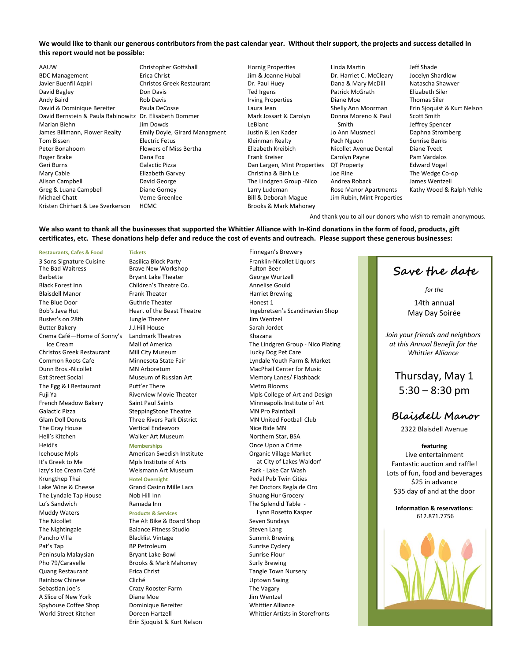#### We would like to thank our generous contributors from the past calendar year. Without their support, the projects and success detailed in **this report would not be possible:**

AAUW BDC Management Javier Buenfil Azpiri David Bagley Andy Baird David & Dominique Bereiter David Bernstein & Paula Rabinowitz Dr. Elisabeth Dommer Marian Biehn James Billmann, Flower Realty Tom Bissen Peter Bonahoom Roger Brake Geri Burns Mary Cable Alison Campbell Greg & Luana Campbell Michael Chatt Kristen Chirhart & Lee Sverkerson

Christopher Gottshall Erica Christ Christos Greek Restaurant Don Davis Rob Davis Paula DeCosse Jim Dowds Emily Doyle, Girard Managment Electric Fetus Flowers of Miss Bertha Dana Fox Galactic Pizza Elizabeth Garvey David George Diane Gorney Verne Greenlee HCMC

Hornig Properties Jim & Joanne Hubal Dr. Paul Huey Ted Irgens Irving Properties Laura Jean Mark Jossart & Carolyn LeBlanc Justin & Jen Kader Kleinman Realty Elizabeth Kreibich Frank Kreiser Dan Largen, Mint Properties Christina & Binh Le The Lindgren Group ‐Nico Larry Ludeman Bill & Deborah Mague Brooks & Mark Mahoney

Linda Martin Dr. Harriet C. McCleary Dana & Mary McDill Patrick McGrath Diane Moe Shelly Ann Moorman Donna Moreno & Paul Smith Jo Ann Musmeci Pach Nguon Nicollet Avenue Dental Carolyn Payne QT Property Joe Rine Andrea Roback Rose Manor Apartments Jim Rubin, Mint Properties Jeff Shade Jocelyn Shardlow Natascha Shawver Elizabeth Siler Thomas Siler Erin Sjoquist & Kurt Nelson Scott Smith Jeffrey Spencer Daphna Stromberg Sunrise Banks Diane Tvedt Pam Vardalos Edward Vogel The Wedge Co‐op James Wentzell Kathy Wood & Ralph Yehle

And thank you to all our donors who wish to remain anonymous.

#### We also want to thank all the businesses that supported the Whittier Alliance with In-Kind donations in the form of food, products, gift certificates, etc. These donations help defer and reduce the cost of events and outreach. Please support these generous businesses:

Crema Café—Home of Sonny's Ice Cream Christos Greek Restaurant Spyhouse Coffee Shop **Dominique Bereiter** Mexican Muslim Constants Whittier Alliance World Street Kitchen Doreen Hartzell Whittier Artists in Storefronts

**Restaurants, Cafes & Food Tickets** Finnegan's Brewery Brave New Workshop Fulton Beer Barbette **Bryant Lake Theater** George Wurtzell Black Forest Inn **State Communist Children's Theatre Co.** School Annelise Gould<br>Blaisdell Manor **Communist Communist Communist Communist Communist Communist Communist Communist Communist Comm** The Blue Door Guthrie Theater Honest 1 Buster's on 28th **Jungle Theater Jungle Theater** Jim Wentzel Butter Bakery **Marson Communist Communist Communist Communist Communist Communist Communist Communist Communist Communist Communist Communist Communist Communist Communist Communist Communist Communist Communist Communist** Landmark Theatres **Exercise Constructs** Khazana<br>
Mall of America **Mall Structs** The Lind The Egg & I Restaurant There **Putt'er There** Metro Blooms Galactic Pizza **SteppingStone Theatre** MN Pro Paintball The Gray House **No. 2018** Vertical Endeavors **Nice Ride MN** Hell's Kitchen Walker Art Museum Northern Star, BSA Heidi's **Memberships** Once Upon a Crime Icehouse Mpls **American Swedish Institute Communist Communist Communist Communist Communist Communist Communist Communist Communist Communist Communist Communist Communist Communist Communist Communist Communist Communis** Izzy's Ice Cream Café Weismann Art Museum Park - Lake Car Wash Krungthep Thai **Hotel Overnight** Pedal Pub Twin Cities The Lyndale Tap House Nob Hill Inn Shuang Hur Grocery Lu's Sandwich **Ramada Inn** The Splendid Table -Muddy Waters **Products & Services** Lynn Rosetto Kasper The Nicollet The Alt Bike & Board Shop Seven Sundays The Nightingale **Balance Fitness Studio** Steven Lang Pancho Villa **Blacklist Vintage Charlotte Summit Brewing** Pat's Tap **BP Petroleum** BP Petroleum Sunrise Cyclery Peninsula Malaysian **Bryant Lake Bowl** Bowl Sunrise Flour Pho 79/Caravelle **Brooks & Mark Mahoney** Surly Brewing Quang Restaurant **Erica Christ** Erica Christ **Tangle Town Nursery** Rainbow Chinese Cliché Uptown Swing Sebastian Joe's Crazy Rooster Farm The Vagary A Slice of New York **Diane Moe** Diane Moe Jim Wentzel

Erin Sjoquist & Kurt Nelson

3 Sons Signature Cuisine Basilica Block Party Franklin-Nicollet Liquors<br>
The Bad Waitress Fulton Brave New Workshop<br>
Fulton Beer Harriet Brewing Bob's Java Hut **Heart of the Beast Theatre** Ingebretsen's Scandinavian Shop Mall of America The Lindgren Group - Nico Plating<br>Mill City Museum The The Theory Care Care Common Roots Cafe Minnesota State Fair Lyndale Youth Farm & Market Dunn Bros.-Nicollet MN Arboretum MACPhail Center for Music Eat Street Social **Museum of Russian Art** Memory Lanes/ Flashback Fuji Ya **Riverview Movie Theater** Movie Mpls College of Art and Design French Meadow Bakery Saint Paul Saints Minneapolis Institute of Art Glam Doll Donuts **Three Rivers Park District** MN United Football Club (Glub) It's Greek to Me Mpls Institute of Arts and Muslim at City of Lakes Waldorf Lake Wine & Cheese Grand Casino Mille Lacs **Pet Doctors Regla de Oro** 

**Save the date** 

*for the*

14th annual May Day Soirée

*Join your friends and neighbors at this Annual Benefit for the Whittier Alliance*

> Thursday, May 1  $5:30 - 8:30$  pm

# **Blaisdell Manor**

2322 Blaisdell Avenue

#### **featuring**

Live entertainment Fantastic auction and raffle! Lots of fun, food and beverages \$25 in advance \$35 day of and at the door

**Information & reservations:** 612.871.7756

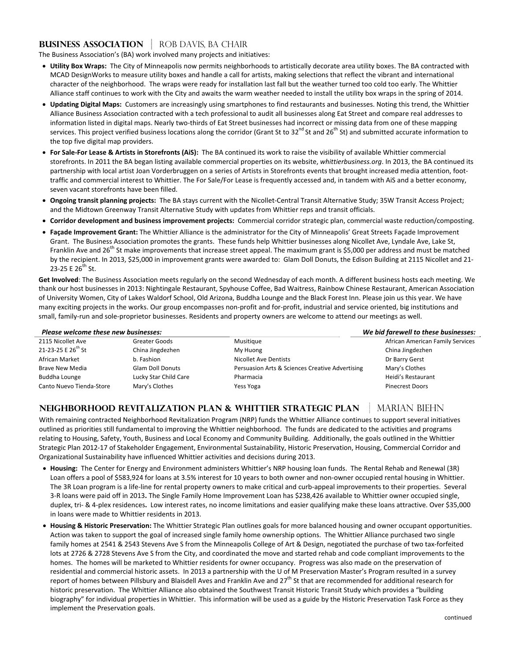## **BUSINESS ASSOCIATION | ROB DAVIS, BA CHAIR**

The Business Association's (BA) work involved many projects and initiatives:

- **Utility Box Wraps:** The City of Minneapolis now permits neighborhoods to artistically decorate area utility boxes. The BA contracted with MCAD DesignWorks to measure utility boxes and handle a call for artists, making selections that reflect the vibrant and international character of the neighborhood. The wraps were ready for installation last fall but the weather turned too cold too early. The Whittier Alliance staff continues to work with the City and awaits the warm weather needed to install the utility box wraps in the spring of 2014.
- **Updating Digital Maps:** Customers are increasingly using smartphones to find restaurants and businesses. Noting this trend, the Whittier Alliance Business Association contracted with a tech professional to audit all businesses along Eat Street and compare real addresses to information listed in digital maps. Nearly two-thirds of Eat Street businesses had incorrect or missing data from one of these mapping services. This project verified business locations along the corridor (Grant St to  $32^{nd}$  St and  $26^{th}$  St) and submitted accurate information to the top five digital map providers.
- **For Sale‐For Lease & Artists in Storefronts (AiS):** The BA continued its work to raise the visibility of available Whittier commercial storefronts. In 2011 the BA began listing available commercial properties on its website, *whittierbusiness.org*. In 2013, the BA continued its partnership with local artist Joan Vorderbruggen on a series of Artists in Storefronts events that brought increased media attention, foottraffic and commercial interest to Whittier. The For Sale/For Lease is frequently accessed and, in tandem with AiS and a better economy, seven vacant storefronts have been filled.
- **Ongoing transit planning projects:** The BA stays current with the Nicollet‐Central Transit Alternative Study; 35W Transit Access Project; and the Midtown Greenway Transit Alternative Study with updates from Whittier reps and transit officials.
- **Corridor development and business improvement projects:** Commercial corridor strategic plan, commercial waste reduction/composting.
- **Façade Improvement Grant:** The Whittier Alliance is the administrator for the City of Minneapolis' Great Streets Façade Improvement Grant. The Business Association promotes the grants. These funds help Whittier businesses along Nicollet Ave, Lyndale Ave, Lake St, Franklin Ave and 26<sup>th</sup> St make improvements that increase street appeal. The maximum grant is \$5,000 per address and must be matched by the recipient. In 2013, \$25,000 in improvement grants were awarded to: Glam Doll Donuts, the Edison Building at 2115 Nicollet and 21‐ 23-25 E 26<sup>th</sup> St.

**Get Involved**: The Business Association meets regularly on the second Wednesday of each month. A different business hosts each meeting. We thank our host businesses in 2013: Nightingale Restaurant, Spyhouse Coffee, Bad Waitress, Rainbow Chinese Restaurant, American Association of University Women, City of Lakes Waldorf School, Old Arizona, Buddha Lounge and the Black Forest Inn. Please join us this year. We have many exciting projects in the works. Our group encompasses non-profit and for-profit, industrial and service oriented, big institutions and small, family-run and sole-proprietor businesses. Residents and property owners are welcome to attend our meetings as well.

| Please welcome these new businesses: |                         |                                                 | We bid farewell to these businesses: |  |
|--------------------------------------|-------------------------|-------------------------------------------------|--------------------------------------|--|
| 2115 Nicollet Ave                    | Greater Goods           | Musitique                                       | African American Family Services     |  |
| 21-23-25 E $26^{th}$ St              | China Jingdezhen        | My Huong                                        | China Jingdezhen                     |  |
| African Market                       | b. Fashion              | Nicollet Ave Dentists                           | Dr Barry Gerst                       |  |
| <b>Brave New Media</b>               | <b>Glam Doll Donuts</b> | Persuasion Arts & Sciences Creative Advertising | Mary's Clothes                       |  |
| Buddha Lounge                        | Lucky Star Child Care   | Pharmacia                                       | Heidi's Restaurant                   |  |
| Canto Nuevo Tienda-Store             | Mary's Clothes          | Yess Yoga                                       | <b>Pinecrest Doors</b>               |  |

# **NEIGHBORHOOD REVITALIZATION PLAN & WHITTIER STRATEGIC PLAN | MARIAN BIEHN**

With remaining contracted Neighborhood Revitalization Program (NRP) funds the Whittier Alliance continues to support several initiatives outlined as priorities still fundamental to improving the Whittier neighborhood. The funds are dedicated to the activities and programs relating to Housing, Safety, Youth, Business and Local Economy and Community Building. Additionally, the goals outlined in the Whittier Strategic Plan 2012‐17 of Stakeholder Engagement, Environmental Sustainability, Historic Preservation, Housing, Commercial Corridor and Organizational Sustainability have influenced Whittier activities and decisions during 2013.

- **Housing:** The Center for Energy and Environment administers Whittier's NRP housing loan funds. The Rental Rehab and Renewal (3R) Loan offers a pool of \$583,924 for loans at 3.5% interest for 10 years to both owner and non-owner occupied rental housing in Whittier. The 3R Loan program is a life-line for rental property owners to make critical and curb-appeal improvements to their properties. Several 3‐R loans were paid off in 2013**.** The Single Family Home Improvement Loan has \$238,426 available to Whittier owner occupied single, duplex, tri‐ & 4‐plex residences**.** Low interest rates, no income limitations and easier qualifying make these loans attractive. Over \$35,000 in loans were made to Whittier residents in 2013.
- **Housing & Historic Preservation:** The Whittier Strategic Plan outlines goals for more balanced housing and owner occupant opportunities. Action was taken to support the goal of increased single family home ownership options. The Whittier Alliance purchased two single family homes at 2541 & 2543 Stevens Ave S from the Minneapolis College of Art & Design, negotiated the purchase of two tax‐forfeited lots at 2726 & 2728 Stevens Ave S from the City, and coordinated the move and started rehab and code compliant improvements to the homes. The homes will be marketed to Whittier residents for owner occupancy. Progress was also made on the preservation of residential and commercial historic assets. In 2013 a partnership with the U of M Preservation Master's Program resulted in a survey report of homes between Pillsbury and Blaisdell Aves and Franklin Ave and 27<sup>th</sup> St that are recommended for additional research for historic preservation. The Whittier Alliance also obtained the Southwest Transit Historic Transit Study which provides a "building biography" for individual properties in Whittier. This information will be used as a guide by the Historic Preservation Task Force as they implement the Preservation goals.